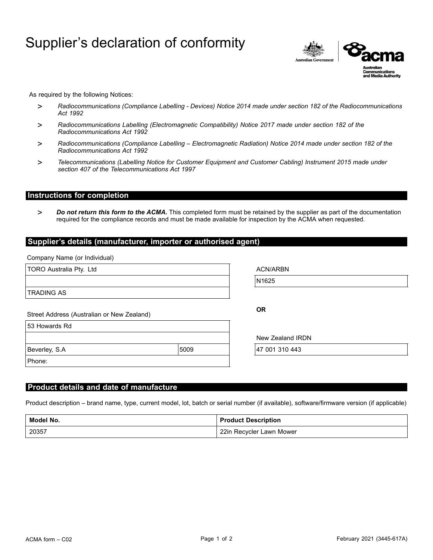# Supplier's declaration of conformity



As required by the following Notices:

- > *Radiocommunications (Compliance Labelling - Devices) Notice 2014 made under section 182 of the Radiocommunications Act 1992*
- > *Radiocommunications Labelling (Electromagnetic Compatibility) Notice 2017 made under section 182 of the Radiocommunications Act 1992*
- > *Radiocommunications (Compliance Labelling – Electromagnetic Radiation) Notice 2014 made under section 182 of the Radiocommunications Act 1992*
- > *Telecommunications (Labelling Notice for Customer Equipment and Customer Cabling) Instrument 2015 made under section 407 of the Telecommunications Act 1997*

## **Instructions for completion**

> *Do not return this form to the ACMA.* This completed form must be retained by the supplier as part of the documentation required for the compliance records and must be made available for inspection by the ACMA when requested.

#### **Supplier's details (manufacturer, importer or authorised agent)**

Company Name (or Individual)

| TORO Australia Pty. Ltd                    |      | <b>ACN/ARBN</b>  |  |
|--------------------------------------------|------|------------------|--|
|                                            |      | N1625            |  |
| <b>TRADING AS</b>                          |      |                  |  |
| Street Address (Australian or New Zealand) |      | <b>OR</b>        |  |
| 53 Howards Rd                              |      |                  |  |
|                                            |      | New Zealand IRDN |  |
| Beverley, S.A                              | 5009 | 47 001 310 443   |  |
| Phone:                                     |      |                  |  |

#### **Product details and date of manufacture**

Product description – brand name, type, current model, lot, batch or serial number (if available), software/firmware version (if applicable)

| Model No. | <b>Product Description</b> |
|-----------|----------------------------|
| 20357     | 22in Recycler Lawn Mower   |